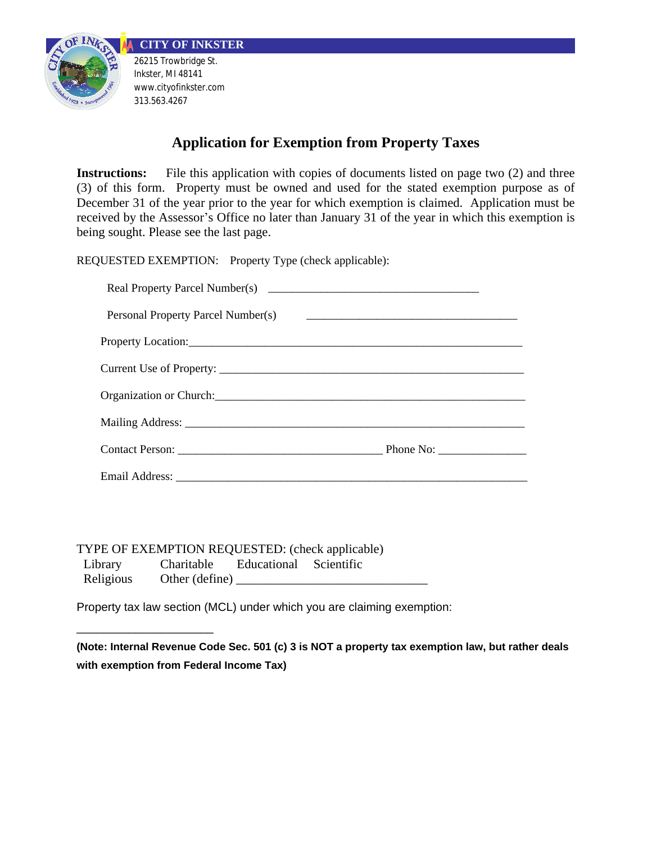



Inkster, MI 48141 www.cityofinkster.com 313.563.4267

# **Application for Exemption from Property Taxes**

**Instructions:** File this application with copies of documents listed on page two (2) and three (3) of this form. Property must be owned and used for the stated exemption purpose as of December 31 of the year prior to the year for which exemption is claimed. Application must be received by the Assessor's Office no later than January 31 of the year in which this exemption is being sought. Please see the last page.

REQUESTED EXEMPTION: Property Type (check applicable):

| Personal Property Parcel Number(s)                                                                                                                                                                                             |                                                                                                         |
|--------------------------------------------------------------------------------------------------------------------------------------------------------------------------------------------------------------------------------|---------------------------------------------------------------------------------------------------------|
| Property Location:                                                                                                                                                                                                             |                                                                                                         |
|                                                                                                                                                                                                                                |                                                                                                         |
| Organization or Church: Changes and Church and Church and Church and Church and Church and Church and Church and Church and Church and Church and Church and Church and Church and Church and Church and Church and Church and |                                                                                                         |
|                                                                                                                                                                                                                                |                                                                                                         |
|                                                                                                                                                                                                                                | Phone No: $\frac{1}{\sqrt{1-\frac{1}{2}}\sqrt{1-\frac{1}{2}}\sqrt{1-\frac{1}{2}}\sqrt{1-\frac{1}{2}}}}$ |
|                                                                                                                                                                                                                                |                                                                                                         |

TYPE OF EXEMPTION REQUESTED: (check applicable)

\_\_\_\_\_\_\_\_\_\_\_\_\_\_\_\_\_\_\_\_\_

 Library Charitable Educational Scientific Religious Other (define)  $\Box$ 

Property tax law section (MCL) under which you are claiming exemption:

**(Note: Internal Revenue Code Sec. 501 (c) 3 is NOT a property tax exemption law, but rather deals with exemption from Federal Income Tax)**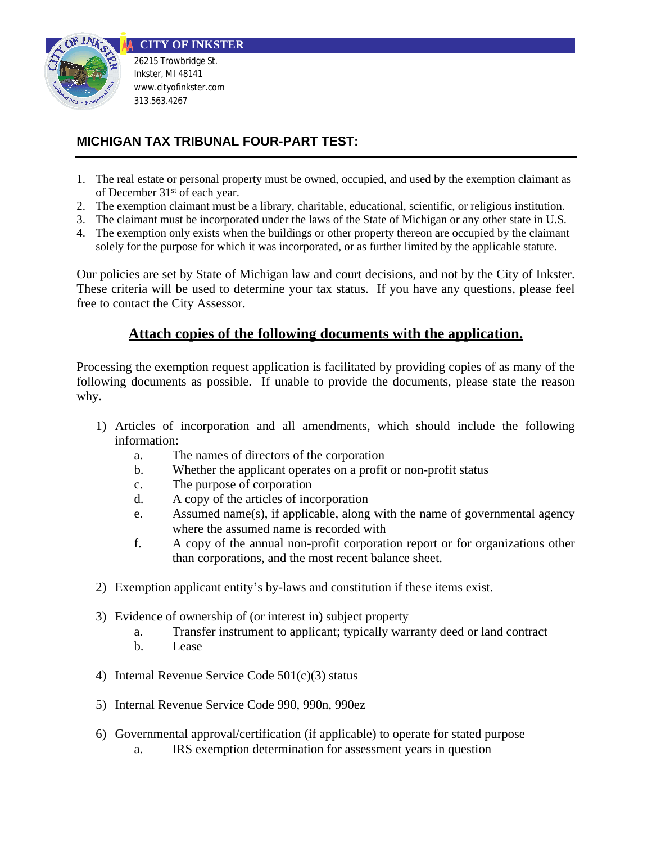

## **MICHIGAN TAX TRIBUNAL FOUR-PART TEST:**

- 1. The real estate or personal property must be owned, occupied, and used by the exemption claimant as of December 31st of each year.
- 2. The exemption claimant must be a library, charitable, educational, scientific, or religious institution.
- 3. The claimant must be incorporated under the laws of the State of Michigan or any other state in U.S.
- 4. The exemption only exists when the buildings or other property thereon are occupied by the claimant solely for the purpose for which it was incorporated, or as further limited by the applicable statute.

Our policies are set by State of Michigan law and court decisions, and not by the City of Inkster. These criteria will be used to determine your tax status. If you have any questions, please feel free to contact the City Assessor.

### **Attach copies of the following documents with the application.**

Processing the exemption request application is facilitated by providing copies of as many of the following documents as possible. If unable to provide the documents, please state the reason why.

- 1) Articles of incorporation and all amendments, which should include the following information:
	- a. The names of directors of the corporation
	- b. Whether the applicant operates on a profit or non-profit status
	- c. The purpose of corporation
	- d. A copy of the articles of incorporation
	- e. Assumed name(s), if applicable, along with the name of governmental agency where the assumed name is recorded with
	- f. A copy of the annual non-profit corporation report or for organizations other than corporations, and the most recent balance sheet.
- 2) Exemption applicant entity's by-laws and constitution if these items exist.
- 3) Evidence of ownership of (or interest in) subject property
	- a. Transfer instrument to applicant; typically warranty deed or land contract
	- b. Lease
- 4) Internal Revenue Service Code 501(c)(3) status
- 5) Internal Revenue Service Code 990, 990n, 990ez
- 6) Governmental approval/certification (if applicable) to operate for stated purpose
	- a. IRS exemption determination for assessment years in question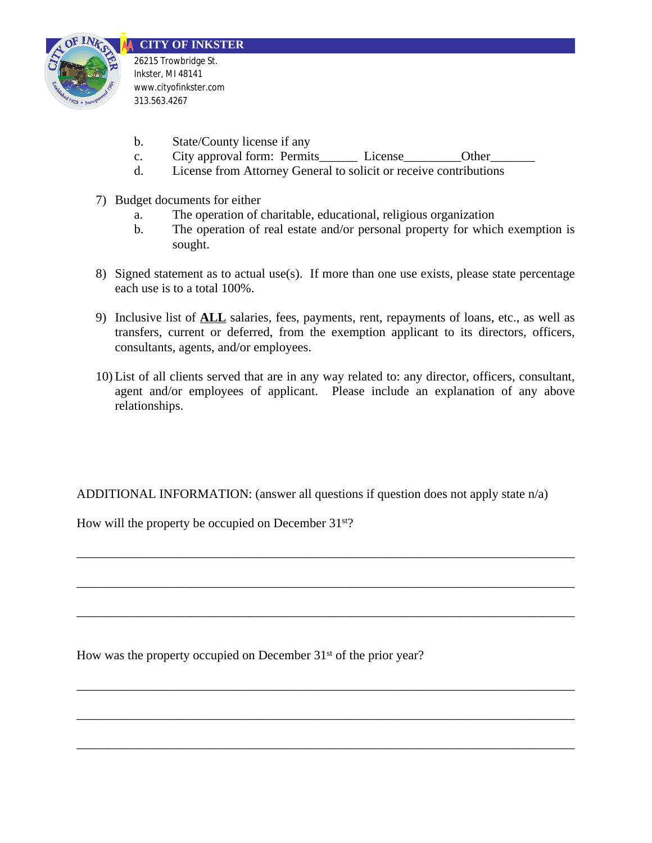

- b. State/County license if any
- c. City approval form: Permits License Other
- d. License from Attorney General to solicit or receive contributions
- 7) Budget documents for either
	- a. The operation of charitable, educational, religious organization
	- b. The operation of real estate and/or personal property for which exemption is sought.
- 8) Signed statement as to actual use(s). If more than one use exists, please state percentage each use is to a total 100%.
- 9) Inclusive list of **ALL** salaries, fees, payments, rent, repayments of loans, etc., as well as transfers, current or deferred, from the exemption applicant to its directors, officers, consultants, agents, and/or employees.
- 10) List of all clients served that are in any way related to: any director, officers, consultant, agent and/or employees of applicant. Please include an explanation of any above relationships.

ADDITIONAL INFORMATION: (answer all questions if question does not apply state n/a)

\_\_\_\_\_\_\_\_\_\_\_\_\_\_\_\_\_\_\_\_\_\_\_\_\_\_\_\_\_\_\_\_\_\_\_\_\_\_\_\_\_\_\_\_\_\_\_\_\_\_\_\_\_\_\_\_\_\_\_\_\_\_\_\_\_\_\_\_\_\_\_\_\_\_\_\_\_\_

\_\_\_\_\_\_\_\_\_\_\_\_\_\_\_\_\_\_\_\_\_\_\_\_\_\_\_\_\_\_\_\_\_\_\_\_\_\_\_\_\_\_\_\_\_\_\_\_\_\_\_\_\_\_\_\_\_\_\_\_\_\_\_\_\_\_\_\_\_\_\_\_\_\_\_\_\_\_

\_\_\_\_\_\_\_\_\_\_\_\_\_\_\_\_\_\_\_\_\_\_\_\_\_\_\_\_\_\_\_\_\_\_\_\_\_\_\_\_\_\_\_\_\_\_\_\_\_\_\_\_\_\_\_\_\_\_\_\_\_\_\_\_\_\_\_\_\_\_\_\_\_\_\_\_\_\_

\_\_\_\_\_\_\_\_\_\_\_\_\_\_\_\_\_\_\_\_\_\_\_\_\_\_\_\_\_\_\_\_\_\_\_\_\_\_\_\_\_\_\_\_\_\_\_\_\_\_\_\_\_\_\_\_\_\_\_\_\_\_\_\_\_\_\_\_\_\_\_\_\_\_\_\_\_\_

\_\_\_\_\_\_\_\_\_\_\_\_\_\_\_\_\_\_\_\_\_\_\_\_\_\_\_\_\_\_\_\_\_\_\_\_\_\_\_\_\_\_\_\_\_\_\_\_\_\_\_\_\_\_\_\_\_\_\_\_\_\_\_\_\_\_\_\_\_\_\_\_\_\_\_\_\_\_

\_\_\_\_\_\_\_\_\_\_\_\_\_\_\_\_\_\_\_\_\_\_\_\_\_\_\_\_\_\_\_\_\_\_\_\_\_\_\_\_\_\_\_\_\_\_\_\_\_\_\_\_\_\_\_\_\_\_\_\_\_\_\_\_\_\_\_\_\_\_\_\_\_\_\_\_\_\_

How will the property be occupied on December 31<sup>st</sup>?

How was the property occupied on December 31<sup>st</sup> of the prior year?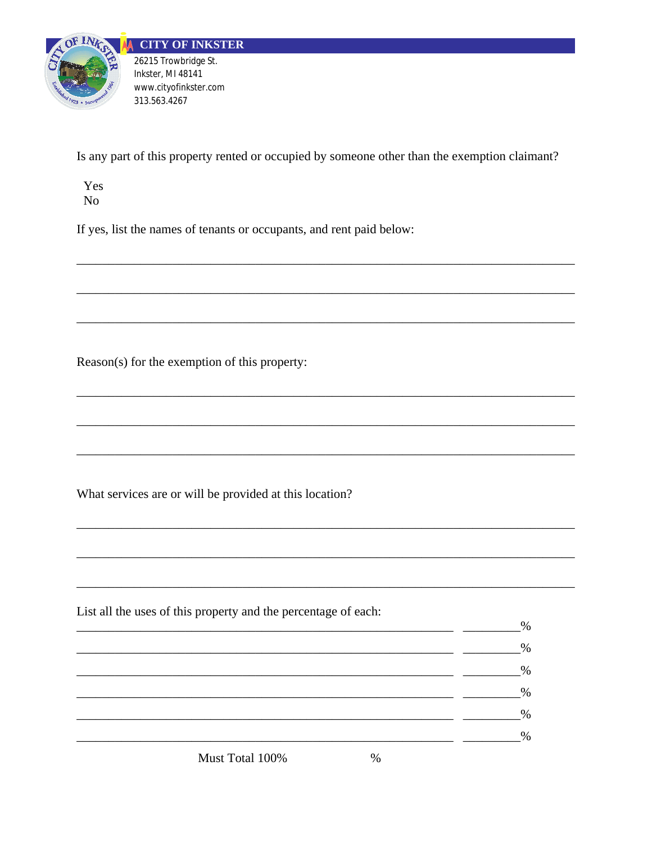

Is any part of this property rented or occupied by someone other than the exemption claimant?

Yes  $No$ 

If yes, list the names of tenants or occupants, and rent paid below:

Reason(s) for the exemption of this property:

What services are or will be provided at this location?

List all the uses of this property and the percentage of each:  $\%$  $\%$ <u> 1980 - Jan Barnett, fransk kongresu.</u>  $\frac{0}{2}$  $\frac{0}{0}$  $\frac{1}{1-\frac{1}{1-\frac{1}{1-\frac{1}{1-\frac{1}{1-\frac{1}{1-\frac{1}{1-\frac{1}{1-\frac{1}{1-\frac{1}{1-\frac{1}{1-\frac{1}{1-\frac{1}{1-\frac{1}{1-\frac{1}{1-\frac{1}{1-\frac{1}{1-\frac{1}{1-\frac{1}{1-\frac{1}{1-\frac{1}{1-\frac{1}{1-\frac{1}{1-\frac{1}{1-\frac{1}{1-\frac{1}{1-\frac{1}{1-\frac{1}{1-\frac{1}{1-\frac{1}{1-\frac{1}{1-\frac{1}{1-\frac{1}{1-\frac{1}{1-\frac{1}{1-\frac{1}{1-\frac{1$ 

Must Total 100%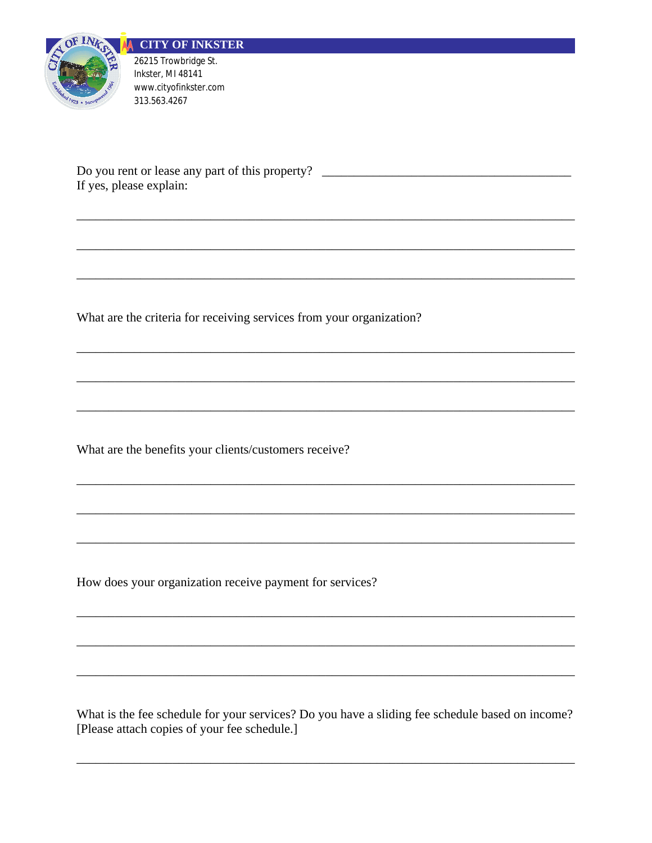

Do you rent or lease any part of this property? \_\_\_\_\_\_\_\_\_\_\_\_\_\_\_\_\_\_\_\_\_\_\_\_\_\_\_\_\_\_\_\_\_ If yes, please explain:

What are the criteria for receiving services from your organization?

What are the benefits your clients/customers receive?

How does your organization receive payment for services?

What is the fee schedule for your services? Do you have a sliding fee schedule based on income? [Please attach copies of your fee schedule.]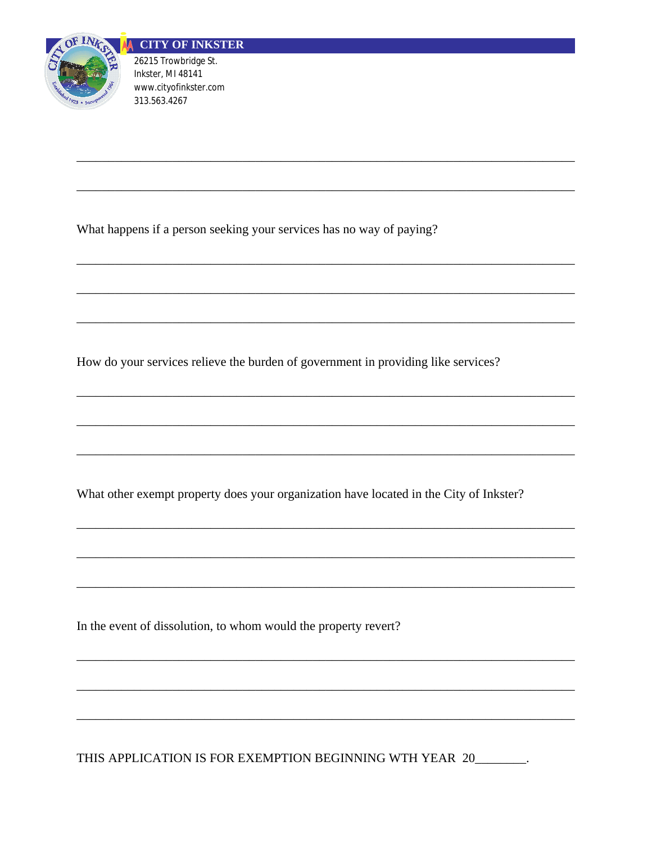

What happens if a person seeking your services has no way of paying?

How do your services relieve the burden of government in providing like services?

What other exempt property does your organization have located in the City of Inkster?

In the event of dissolution, to whom would the property revert?

THIS APPLICATION IS FOR EXEMPTION BEGINNING WTH YEAR 20\_\_\_\_\_\_\_.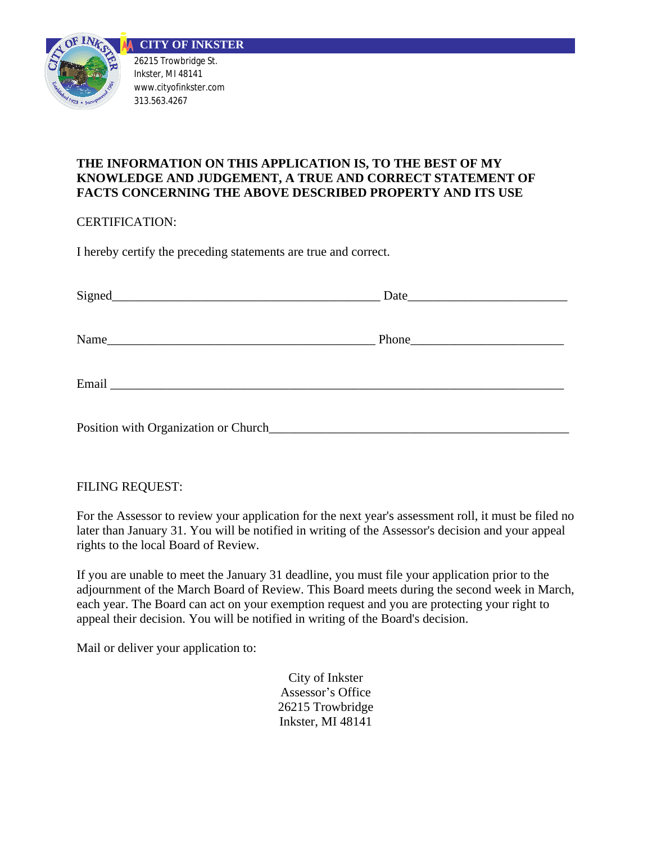

### **THE INFORMATION ON THIS APPLICATION IS, TO THE BEST OF MY KNOWLEDGE AND JUDGEMENT, A TRUE AND CORRECT STATEMENT OF FACTS CONCERNING THE ABOVE DESCRIBED PROPERTY AND ITS USE**

CERTIFICATION:

I hereby certify the preceding statements are true and correct.

| Position with Organization or Church |  |
|--------------------------------------|--|

### FILING REQUEST:

For the Assessor to review your application for the next year's assessment roll, it must be filed no later than January 31. You will be notified in writing of the Assessor's decision and your appeal rights to the local Board of Review.

If you are unable to meet the January 31 deadline, you must file your application prior to the adjournment of the March Board of Review. This Board meets during the second week in March, each year. The Board can act on your exemption request and you are protecting your right to appeal their decision. You will be notified in writing of the Board's decision.

Mail or deliver your application to:

City of Inkster Assessor's Office 26215 Trowbridge Inkster, MI 48141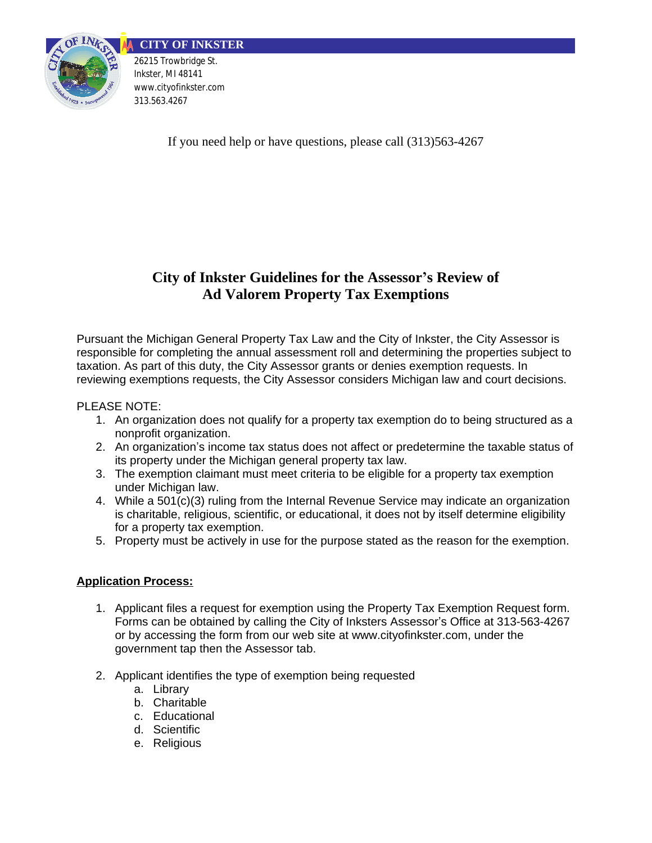

If you need help or have questions, please call (313)563-4267

## **City of Inkster Guidelines for the Assessor's Review of Ad Valorem Property Tax Exemptions**

Pursuant the Michigan General Property Tax Law and the City of Inkster, the City Assessor is responsible for completing the annual assessment roll and determining the properties subject to taxation. As part of this duty, the City Assessor grants or denies exemption requests. In reviewing exemptions requests, the City Assessor considers Michigan law and court decisions.

### PLEASE NOTE:

- 1. An organization does not qualify for a property tax exemption do to being structured as a nonprofit organization.
- 2. An organization's income tax status does not affect or predetermine the taxable status of its property under the Michigan general property tax law.
- 3. The exemption claimant must meet criteria to be eligible for a property tax exemption under Michigan law.
- 4. While a 501(c)(3) ruling from the Internal Revenue Service may indicate an organization is charitable, religious, scientific, or educational, it does not by itself determine eligibility for a property tax exemption.
- 5. Property must be actively in use for the purpose stated as the reason for the exemption.

#### **Application Process:**

- 1. Applicant files a request for exemption using the Property Tax Exemption Request form. Forms can be obtained by calling the City of Inksters Assessor's Office at 313-563-4267 or by accessing the form from our web site at www.cityofinkster.com, under the government tap then the Assessor tab.
- 2. Applicant identifies the type of exemption being requested
	- a. Library
	- b. Charitable
	- c. Educational
	- d. Scientific
	- e. Religious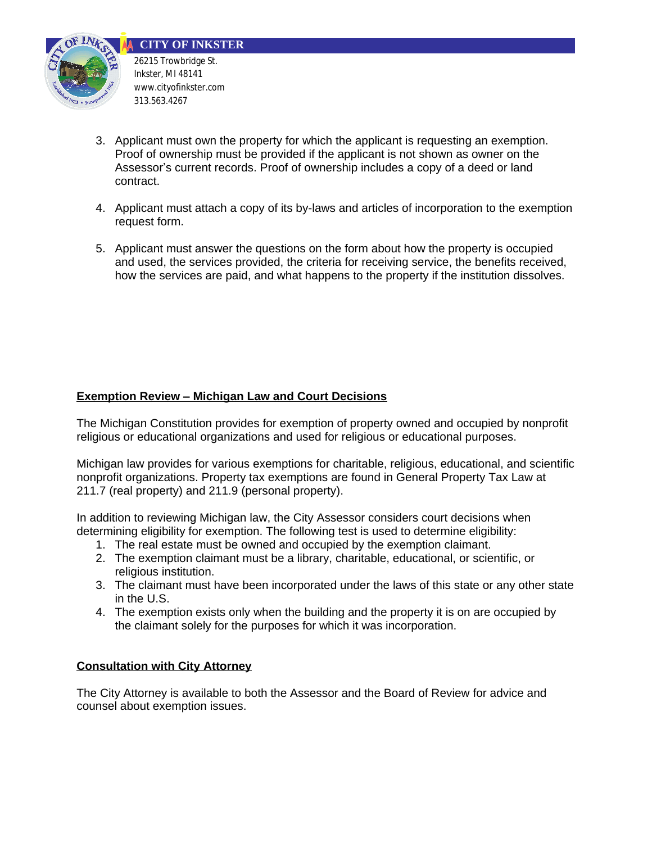



26215 Trowbridge St. Inkster, MI 48141 www.cityofinkster.com 313.563.4267

- 3. Applicant must own the property for which the applicant is requesting an exemption. Proof of ownership must be provided if the applicant is not shown as owner on the Assessor's current records. Proof of ownership includes a copy of a deed or land contract.
- 4. Applicant must attach a copy of its by-laws and articles of incorporation to the exemption request form.
- 5. Applicant must answer the questions on the form about how the property is occupied and used, the services provided, the criteria for receiving service, the benefits received, how the services are paid, and what happens to the property if the institution dissolves.

### **Exemption Review – Michigan Law and Court Decisions**

The Michigan Constitution provides for exemption of property owned and occupied by nonprofit religious or educational organizations and used for religious or educational purposes.

Michigan law provides for various exemptions for charitable, religious, educational, and scientific nonprofit organizations. Property tax exemptions are found in General Property Tax Law at 211.7 (real property) and 211.9 (personal property).

In addition to reviewing Michigan law, the City Assessor considers court decisions when determining eligibility for exemption. The following test is used to determine eligibility:

- 1. The real estate must be owned and occupied by the exemption claimant.
- 2. The exemption claimant must be a library, charitable, educational, or scientific, or religious institution.
- 3. The claimant must have been incorporated under the laws of this state or any other state in the U.S.
- 4. The exemption exists only when the building and the property it is on are occupied by the claimant solely for the purposes for which it was incorporation.

#### **Consultation with City Attorney**

The City Attorney is available to both the Assessor and the Board of Review for advice and counsel about exemption issues.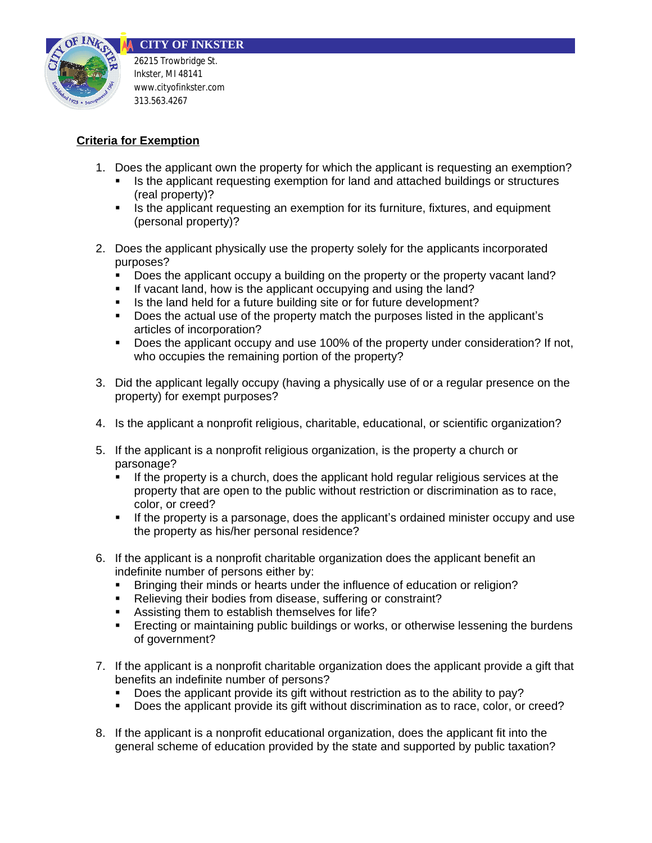

**CITY OF INKSTER** 26215 Trowbridge St.

Inkster, MI 48141 www.cityofinkster.com 313.563.4267

### **Criteria for Exemption**

- 1. Does the applicant own the property for which the applicant is requesting an exemption?
	- In Its the applicant requesting exemption for land and attached buildings or structures (real property)?
	- **IF** Is the applicant requesting an exemption for its furniture, fixtures, and equipment (personal property)?
- 2. Does the applicant physically use the property solely for the applicants incorporated purposes?
	- Does the applicant occupy a building on the property or the property vacant land?
	- If vacant land, how is the applicant occupving and using the land?
	- Is the land held for a future building site or for future development?
	- Does the actual use of the property match the purposes listed in the applicant's articles of incorporation?
	- Does the applicant occupy and use 100% of the property under consideration? If not, who occupies the remaining portion of the property?
- 3. Did the applicant legally occupy (having a physically use of or a regular presence on the property) for exempt purposes?
- 4. Is the applicant a nonprofit religious, charitable, educational, or scientific organization?
- 5. If the applicant is a nonprofit religious organization, is the property a church or parsonage?
	- If the property is a church, does the applicant hold regular religious services at the property that are open to the public without restriction or discrimination as to race, color, or creed?
	- If the property is a parsonage, does the applicant's ordained minister occupy and use the property as his/her personal residence?
- 6. If the applicant is a nonprofit charitable organization does the applicant benefit an indefinite number of persons either by:
	- Bringing their minds or hearts under the influence of education or religion?
	- Relieving their bodies from disease, suffering or constraint?
	- **Assisting them to establish themselves for life?**
	- **Execting or maintaining public buildings or works, or otherwise lessening the burdens** of government?
- 7. If the applicant is a nonprofit charitable organization does the applicant provide a gift that benefits an indefinite number of persons?
	- Does the applicant provide its gift without restriction as to the ability to pay?
	- Does the applicant provide its gift without discrimination as to race, color, or creed?
- 8. If the applicant is a nonprofit educational organization, does the applicant fit into the general scheme of education provided by the state and supported by public taxation?